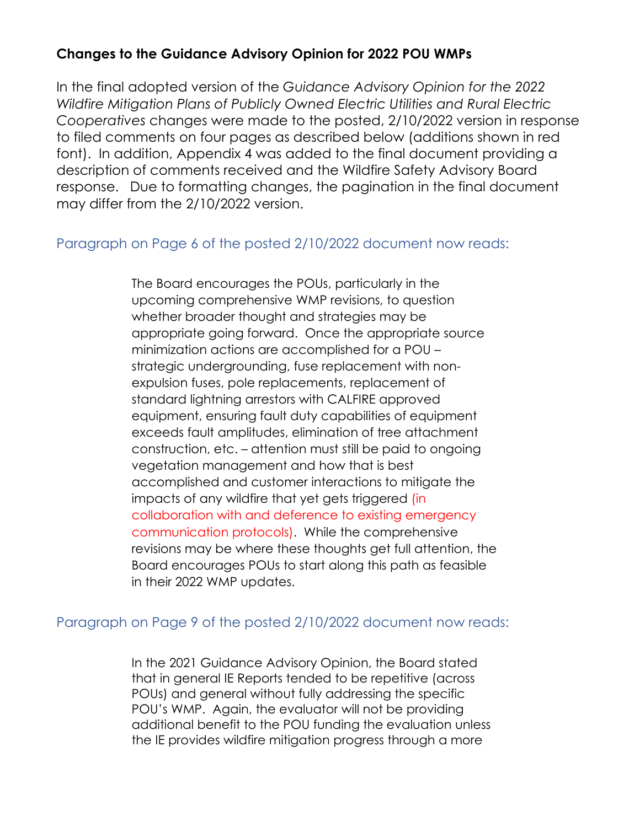# **Changes to the Guidance Advisory Opinion for 2022 POU WMPs**

In the final adopted version of the *Guidance Advisory Opinion for the 2022 Wildfire Mitigation Plans of Publicly Owned Electric Utilities and Rural Electric Cooperatives* changes were made to the posted, 2/10/2022 version in response to filed comments on four pages as described below (additions shown in red font). In addition, Appendix 4 was added to the final document providing a description of comments received and the Wildfire Safety Advisory Board response. Due to formatting changes, the pagination in the final document may differ from the 2/10/2022 version.

# Paragraph on Page 6 of the posted 2/10/2022 document now reads:

The Board encourages the POUs, particularly in the upcoming comprehensive WMP revisions, to question whether broader thought and strategies may be appropriate going forward. Once the appropriate source minimization actions are accomplished for a POU – strategic undergrounding, fuse replacement with nonexpulsion fuses, pole replacements, replacement of standard lightning arrestors with CALFIRE approved equipment, ensuring fault duty capabilities of equipment exceeds fault amplitudes, elimination of tree attachment construction, etc. – attention must still be paid to ongoing vegetation management and how that is best accomplished and customer interactions to mitigate the impacts of any wildfire that yet gets triggered (in collaboration with and deference to existing emergency communication protocols). While the comprehensive revisions may be where these thoughts get full attention, the Board encourages POUs to start along this path as feasible in their 2022 WMP updates.

## Paragraph on Page 9 of the posted 2/10/2022 document now reads:

In the 2021 Guidance Advisory Opinion, the Board stated that in general IE Reports tended to be repetitive (across POUs) and general without fully addressing the specific POU's WMP. Again, the evaluator will not be providing additional benefit to the POU funding the evaluation unless the IE provides wildfire mitigation progress through a more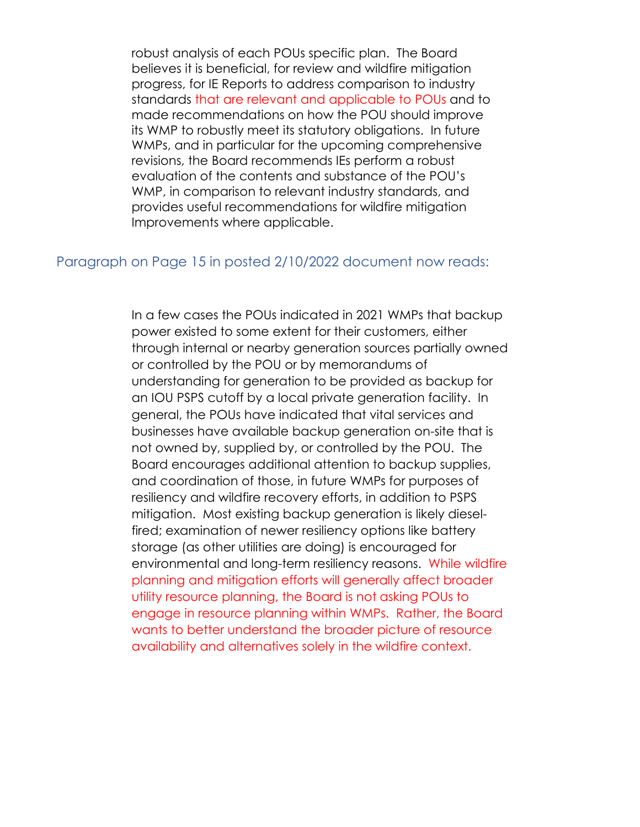robust analysis of each POUs specific plan. The Board believes it is beneficial, for review and wildfire mitigation progress, for IE Reports to address comparison to industry standards that are relevant and applicable to POUs and to made recommendations on how the POU should improve its WMP to robustly meet its statutory obligations. In future WMPs, and in particular for the upcoming comprehensive revisions, the Board recommends IEs perform a robust evaluation of the contents and substance of the POU's WMP, in comparison to relevant industry standards, and provides useful recommendations for wildfire mitigation Improvements where applicable.

#### Paragraph on Page 15 in posted 2/10/2022 document now reads:

In a few cases the POUs indicated in 2021 WMPs that backup power existed to some extent for their customers, either through internal or nearby generation sources partially owned or controlled by the POU or by memorandums of understanding for generation to be provided as backup for an IOU PSPS cutoff by a local private generation facility. In general, the POUs have indicated that vital services and businesses have available backup generation on-site that is not owned by, supplied by, or controlled by the POU. The Board encourages additional attention to backup supplies, and coordination of those, in future WMPs for purposes of resiliency and wildfire recovery efforts, in addition to PSPS mitigation. Most existing backup generation is likely dieselfired; examination of newer resiliency options like battery storage (as other utilities are doing) is encouraged for environmental and long-term resiliency reasons. While wildfire planning and mitigation efforts will generally affect broader utility resource planning, the Board is not asking POUs to engage in resource planning within WMPs. Rather, the Board wants to better understand the broader picture of resource availability and alternatives solely in the wildfire context.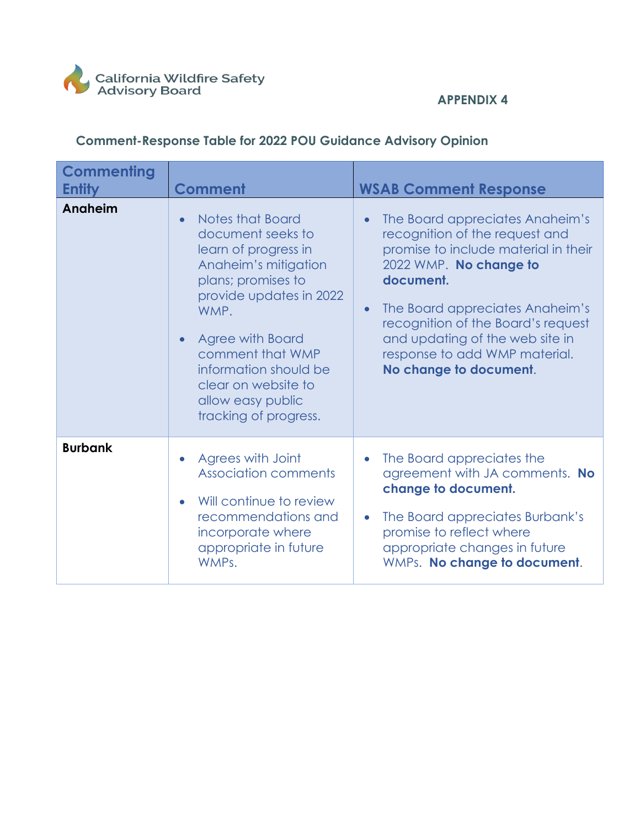

## **APPENDIX 4**

# **Comment-Response Table for 2022 POU Guidance Advisory Opinion**

| <b>Commenting</b><br><b>Entity</b> | <b>Comment</b>                                                                                                                                                                                                                                                                              | <b>WSAB Comment Response</b>                                                                                                                                                                                                                                                                                                                      |
|------------------------------------|---------------------------------------------------------------------------------------------------------------------------------------------------------------------------------------------------------------------------------------------------------------------------------------------|---------------------------------------------------------------------------------------------------------------------------------------------------------------------------------------------------------------------------------------------------------------------------------------------------------------------------------------------------|
| Anaheim                            | Notes that Board<br>document seeks to<br>learn of progress in<br>Anaheim's mitigation<br>plans; promises to<br>provide updates in 2022<br>WMP.<br><b>Agree with Board</b><br>comment that WMP<br>information should be<br>clear on website to<br>allow easy public<br>tracking of progress. | The Board appreciates Anaheim's<br>$\bullet$<br>recognition of the request and<br>promise to include material in their<br>2022 WMP. No change to<br>document.<br>The Board appreciates Anaheim's<br>$\bullet$<br>recognition of the Board's request<br>and updating of the web site in<br>response to add WMP material.<br>No change to document. |
| <b>Burbank</b>                     | Agrees with Joint<br><b>Association comments</b><br>Will continue to review<br>recommendations and<br>incorporate where<br>appropriate in future<br>WMPs.                                                                                                                                   | The Board appreciates the<br>$\bullet$<br>agreement with JA comments. No<br>change to document.<br>The Board appreciates Burbank's<br>$\bullet$<br>promise to reflect where<br>appropriate changes in future<br>WMPs. No change to document.                                                                                                      |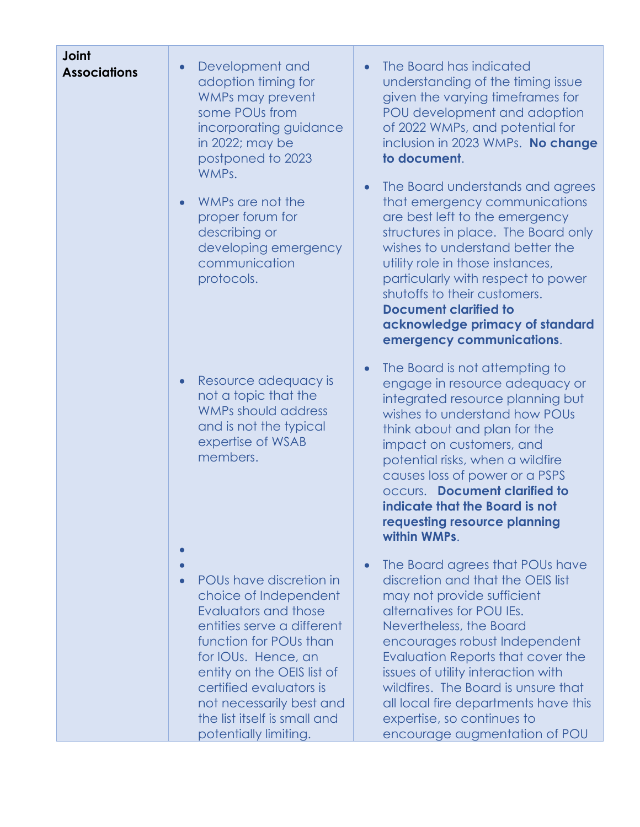| <b>Joint</b><br><b>Associations</b> | Development and<br>$\bullet$<br>adoption timing for<br>WMPs may prevent<br>some POUs from<br>incorporating guidance<br>in 2022; may be<br>postponed to 2023<br>WMPs.<br>WMPs are not the<br>proper forum for<br>describing or<br>developing emergency<br>communication<br>protocols.                  | The Board has indicated<br>understanding of the timing issue<br>given the varying timeframes for<br>POU development and adoption<br>of 2022 WMPs, and potential for<br>inclusion in 2023 WMPs. No change<br>to document.<br>The Board understands and agrees<br>$\bullet$<br>that emergency communications<br>are best left to the emergency<br>structures in place. The Board only<br>wishes to understand better the<br>utility role in those instances,<br>particularly with respect to power<br>shutoffs to their customers.<br><b>Document clarified to</b><br>acknowledge primacy of standard<br>emergency communications. |
|-------------------------------------|-------------------------------------------------------------------------------------------------------------------------------------------------------------------------------------------------------------------------------------------------------------------------------------------------------|----------------------------------------------------------------------------------------------------------------------------------------------------------------------------------------------------------------------------------------------------------------------------------------------------------------------------------------------------------------------------------------------------------------------------------------------------------------------------------------------------------------------------------------------------------------------------------------------------------------------------------|
|                                     | Resource adequacy is<br>not a topic that the<br><b>WMPs should address</b><br>and is not the typical<br>expertise of WSAB<br>members.                                                                                                                                                                 | The Board is not attempting to<br>engage in resource adequacy or<br>integrated resource planning but<br>wishes to understand how POUs<br>think about and plan for the<br>impact on customers, and<br>potential risks, when a wildfire<br>causes loss of power or a PSPS<br><b>occurs.</b> Document clarified to<br>indicate that the Board is not<br>requesting resource planning<br>within WMPs.                                                                                                                                                                                                                                |
|                                     | POUs have discretion in<br>choice of Independent<br>Evaluators and those<br>entities serve a different<br>function for POUs than<br>for IOUs. Hence, an<br>entity on the OEIS list of<br>certified evaluators is<br>not necessarily best and<br>the list itself is small and<br>potentially limiting. | The Board agrees that POUs have<br>discretion and that the OEIS list<br>may not provide sufficient<br>alternatives for POU IEs.<br>Nevertheless, the Board<br>encourages robust Independent<br>Evaluation Reports that cover the<br>issues of utility interaction with<br>wildfires. The Board is unsure that<br>all local fire departments have this<br>expertise, so continues to<br>encourage augmentation of POU                                                                                                                                                                                                             |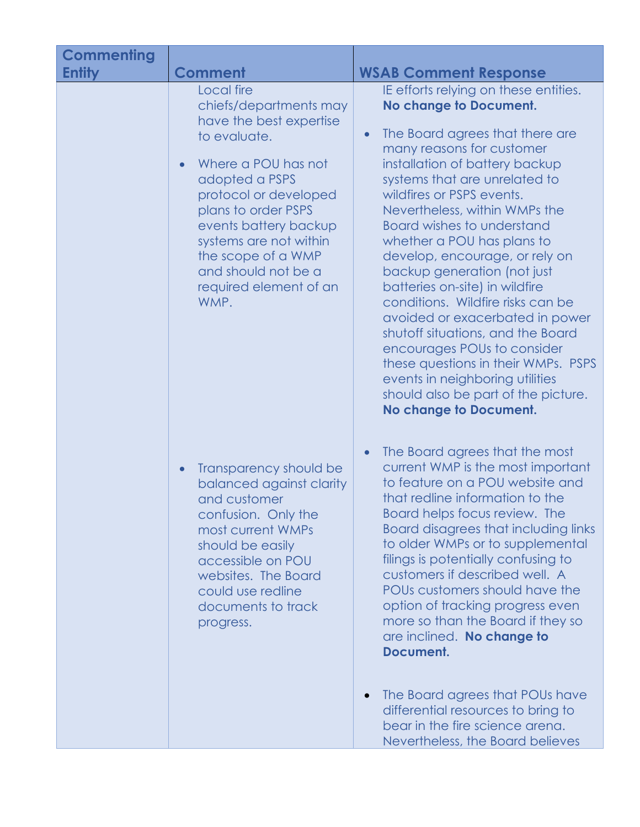| <b>Commenting</b><br><b>Entity</b> | <b>Comment</b>                                                                                                                                                                                                                                                                                                          | <b>WSAB Comment Response</b>                                                                                                                                                                                                                                                                                                                                                                                                                                                                                                                                                                                                                                                                                                                             |
|------------------------------------|-------------------------------------------------------------------------------------------------------------------------------------------------------------------------------------------------------------------------------------------------------------------------------------------------------------------------|----------------------------------------------------------------------------------------------------------------------------------------------------------------------------------------------------------------------------------------------------------------------------------------------------------------------------------------------------------------------------------------------------------------------------------------------------------------------------------------------------------------------------------------------------------------------------------------------------------------------------------------------------------------------------------------------------------------------------------------------------------|
|                                    | Local fire<br>chiefs/departments may<br>have the best expertise<br>to evaluate.<br>Where a POU has not<br>$\bullet$<br>adopted a PSPS<br>protocol or developed<br>plans to order PSPS<br>events battery backup<br>systems are not within<br>the scope of a WMP<br>and should not be a<br>required element of an<br>WMP. | IE efforts relying on these entities.<br><b>No change to Document.</b><br>The Board agrees that there are<br>$\bullet$<br>many reasons for customer<br>installation of battery backup<br>systems that are unrelated to<br>wildfires or PSPS events.<br>Nevertheless, within WMPs the<br><b>Board wishes to understand</b><br>whether a POU has plans to<br>develop, encourage, or rely on<br>backup generation (not just<br>batteries on-site) in wildfire<br>conditions. Wildfire risks can be<br>avoided or exacerbated in power<br>shutoff situations, and the Board<br>encourages POUs to consider<br>these questions in their WMPs. PSPS<br>events in neighboring utilities<br>should also be part of the picture.<br><b>No change to Document.</b> |
|                                    | Transparency should be<br>balanced against clarity<br>and customer<br>confusion. Only the<br>most current WMPs<br>should be easily<br>accessible on POU<br>websites. The Board<br>could use redline<br>documents to track<br>progress.                                                                                  | The Board agrees that the most<br>$\bullet$<br>current WMP is the most important<br>to feature on a POU website and<br>that redline information to the<br>Board helps focus review. The<br>Board disagrees that including links<br>to older WMPs or to supplemental<br>filings is potentially confusing to<br>customers if described well. A<br>POUs customers should have the<br>option of tracking progress even<br>more so than the Board if they so<br>are inclined. No change to<br>Document.<br>The Board agrees that POUs have<br>$\bullet$<br>differential resources to bring to<br>bear in the fire science arena.<br>Nevertheless, the Board believes                                                                                          |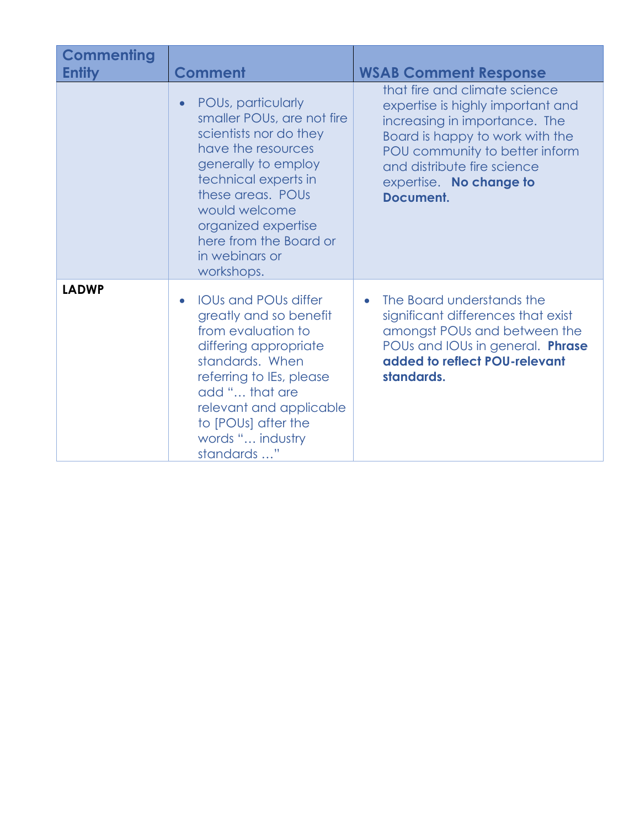| <b>Commenting</b><br><b>Entity</b> | <b>Comment</b>                                                                                                                                                                                                                                                         | <b>WSAB Comment Response</b>                                                                                                                                                                                                                    |
|------------------------------------|------------------------------------------------------------------------------------------------------------------------------------------------------------------------------------------------------------------------------------------------------------------------|-------------------------------------------------------------------------------------------------------------------------------------------------------------------------------------------------------------------------------------------------|
|                                    | POUs, particularly<br>smaller POUs, are not fire<br>scientists nor do they<br>have the resources<br>generally to employ<br>technical experts in<br>these areas. POUs<br>would welcome<br>organized expertise<br>here from the Board or<br>in webinars or<br>workshops. | that fire and climate science<br>expertise is highly important and<br>increasing in importance. The<br>Board is happy to work with the<br>POU community to better inform<br>and distribute fire science<br>expertise. No change to<br>Document. |
| <b>LADWP</b>                       | <b>IOUs and POUs differ</b><br>greatly and so benefit<br>from evaluation to<br>differing appropriate<br>standards. When<br>referring to IEs, please<br>add " that are<br>relevant and applicable<br>to [POUs] after the<br>words " industry<br>standards "             | The Board understands the<br>$\bullet$<br>significant differences that exist<br>amongst POUs and between the<br>POUs and IOUs in general. Phrase<br>added to reflect POU-relevant<br>standards.                                                 |